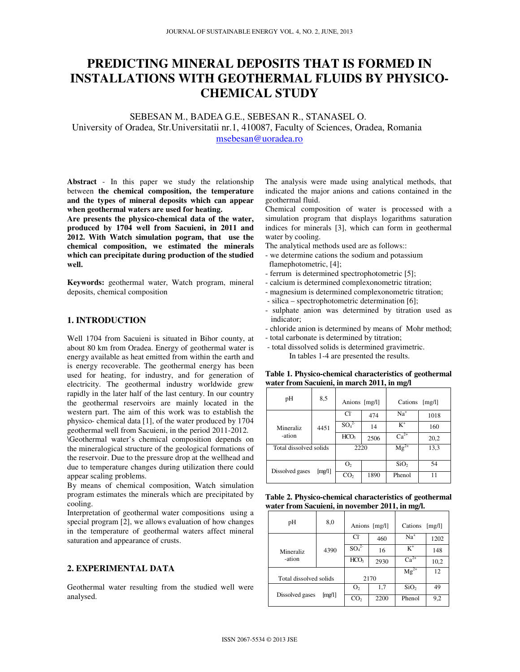# **PREDICTING MINERAL DEPOSITS THAT IS FORMED IN INSTALLATIONS WITH GEOTHERMAL FLUIDS BY PHYSICO-CHEMICAL STUDY**

 SEBESAN M., BADEA G.E., SEBESAN R., STANASEL O. University of Oradea, Str.Universitatii nr.1, 410087, Faculty of Sciences, Oradea, Romania msebesan@uoradea.ro

**Abstract** - In this paper we study the relationship between **the chemical composition, the temperature and the types of mineral deposits which can appear when geothermal waters are used for heating.** 

**Are presents the physico-chemical data of the water, produced by 1704 well from Sacuieni, in 2011 and 2012. With Watch simulation pogram, that use the chemical composition, we estimated the minerals which can precipitate during production of the studied well.** 

**Keywords:** geothermal water, Watch program, mineral deposits, chemical composition

#### **1. INTRODUCTION**

Well 1704 from Sacuieni is situated in Bihor county, at about 80 km from Oradea. Energy of geothermal water is energy available as heat emitted from within the earth and is energy recoverable. The geothermal energy has been used for heating, for industry, and for generation of electricity. The geothermal industry worldwide grew rapidly in the later half of the last century. In our country the geothermal reservoirs are mainly located in the western part. The aim of this work was to establish the physico- chemical data [1], of the water produced by 1704 geothermal well from Sacuieni, in the period 2011-2012.

\Geothermal water's chemical composition depends on the mineralogical structure of the geological formations of the reservoir. Due to the pressure drop at the wellhead and due to temperature changes during utilization there could appear scaling problems.

By means of chemical composition, Watch simulation program estimates the minerals which are precipitated by cooling.

Interpretation of geothermal water compositions using a special program [2], we allows evaluation of how changes in the temperature of geothermal waters affect mineral saturation and appearance of crusts.

# **2. EXPERIMENTAL DATA**

Geothermal water resulting from the studied well were analysed.

The analysis were made using analytical methods, that indicated the major anions and cations contained in the geothermal fluid.

Chemical composition of water is processed with a simulation program that displays logarithms saturation indices for minerals [3], which can form in geothermal water by cooling.

The analytical methods used are as follows::

- we determine cations the sodium and potassium flamephotometric, [4];
- ferrum is determined spectrophotometric [5];
- calcium is determined complexonometric titration;
- magnesium is determined complexonometric titration;
- silica spectrophotometric determination [6];
- sulphate anion was determined by titration used as indicator;
- chloride anion is determined by means of Mohr method;
- total carbonate is determined by titration;
- total dissolved solids is determined gravimetric. In tables 1-4 are presented the results.

**Table 1. Physico-chemical characteristics of geothermal water from Sacuieni, in march 2011, in mg/l** 

| pH                     | 8,5    | Anions [mg/l]                |      | Cations          | [mg/l] |
|------------------------|--------|------------------------------|------|------------------|--------|
|                        |        | CF.                          | 474  | $Na+$            | 1018   |
| <b>Mineraliz</b>       | 4451   | SO <sub>4</sub> <sup>2</sup> | 14   | $K^+$            | 160    |
| -ation                 |        | HCO <sub>3</sub>             | 2506 | $Ca^{2+}$        | 20,2   |
| Total dissolved solids |        | 2220                         |      | $Mg^{2+}$        | 13,3   |
|                        |        |                              |      |                  |        |
|                        |        | О,                           |      | SiO <sub>2</sub> | 54     |
| Dissolved gases        | [mg/1] | CO <sub>2</sub>              | 1890 | Phenol           |        |

| Table 2. Physico-chemical characteristics of geothermal |
|---------------------------------------------------------|
| water from Sacuieni, in november 2011, in mg/l.         |

| pH                     | 8,0    | Anions [mg/l]                |      | Cations          | [mg/l] |
|------------------------|--------|------------------------------|------|------------------|--------|
|                        |        | $Cl^{\dagger}$               | 460  | Na <sup>+</sup>  | 1202   |
| <b>Mineraliz</b>       | 4390   | SO <sub>4</sub> <sup>2</sup> | 16   | $K^+$            | 148    |
| -ation                 |        | HCO <sub>3</sub>             | 2930 | $Ca^{2+}$        | 10,2   |
|                        |        |                              |      | $Mg^{2+}$        | 12     |
| Total dissolved solids |        |                              | 2170 |                  |        |
|                        |        | O <sub>2</sub>               | 1.7  | SiO <sub>2</sub> | 49     |
| Dissolved gases        | [mg/1] | CO <sub>2</sub>              | 2200 | Phenol           | 9,2    |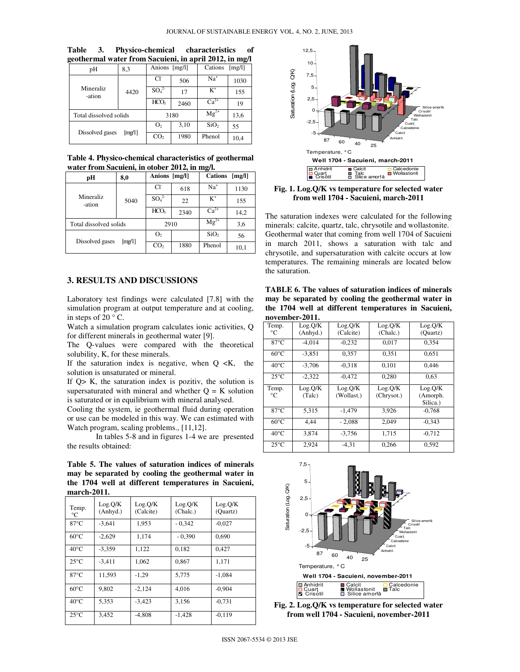| geother mar water 11 om Saculem, in april 2012, in mg/l |        |                              |      |                  |        |
|---------------------------------------------------------|--------|------------------------------|------|------------------|--------|
| pH                                                      | 8.3    | Anions [mg/l]                |      | Cations          | [mg/l] |
|                                                         |        | CF.                          | 506  | $Na+$            | 1030   |
| Mineraliz<br>-ation                                     | 4420   | SO <sub>4</sub> <sup>2</sup> | 17   | $K^+$            | 155    |
|                                                         |        | HCO3                         | 2460 | $Ca2+$           | 19     |
| Total dissolved solids                                  |        |                              | 3180 | $Mg^{2+}$        | 13,6   |
|                                                         |        | O <sub>2</sub>               | 3,10 | SiO <sub>2</sub> | 55     |
| Dissolved gases                                         | [mg/1] | CO <sub>2</sub>              | 1980 | Phenol           | 10,4   |

| Table | <b>Physico-chemical</b>                                |  |  | characteristics | of |  |
|-------|--------------------------------------------------------|--|--|-----------------|----|--|
|       | geothermal water from Sacuieni, in april 2012, in mg/l |  |  |                 |    |  |
|       |                                                        |  |  |                 |    |  |

**Table 4. Physico-chemical characteristics of geothermal water from Sacuieni, in otober 2012, in mg/l.** 

| рH                         | 8,0    | Anions [mg/l]    |      | <b>Cations</b>   | [mg/l] |
|----------------------------|--------|------------------|------|------------------|--------|
|                            |        | $Cl-$            | 618  | $Na+$            | 1130   |
| <b>Mineraliz</b><br>-ation | 5040   | $SO_4^2$         | 22   | $K^+$            | 155    |
|                            |        | HCO <sub>3</sub> | 2340 | $Ca^{2+}$        | 14,2   |
| Total dissolved solids     |        | 2910             |      | $Mg^{2+}$        | 3,6    |
| Dissolved gases            | [mg/1] | O <sub>2</sub>   |      | SiO <sub>2</sub> | 56     |
|                            |        | CO <sub>2</sub>  | 1880 | Phenol           | 10,1   |

# **3. RESULTS AND DISCUSSIONS**

Laboratory test findings were calculated [7.8] with the simulation program at output temperature and at cooling, in steps of 20 $\degree$  C.

Watch a simulation program calculates ionic activities, Q for different minerals in geothermal water [9].

The Q-values were compared with the theoretical solubility, K, for these minerals.

If the saturation index is negative, when  $Q \lt K$ , the solution is unsaturated or mineral.

If Q> K, the saturation index is pozitiv, the solution is supersaturated with mineral and whether  $Q = K$  solution is saturated or in equilibrium with mineral analysed.

Cooling the system, ie geothermal fluid during operation or use can be modeled in this way. We can estimated with Watch program, scaling problems., [11,12].

 In tables 5-8 and in figures 1-4 we are presented the results obtained:

**Table 5. The values of saturation indices of minerals may be separated by cooling the geothermal water in the 1704 well at different temperatures in Sacuieni, march-2011.** 

| Temp.<br>$^{\circ}C$ | Log.Q/K<br>(Anhyd.) | Log.Q/K<br>(Calcite) | Log.Q/K<br>(Chalc.) | Log.Q/K<br>(Quartz) |
|----------------------|---------------------|----------------------|---------------------|---------------------|
| $87^{\circ}$ C       | $-3.641$            | 1.953                | $-0.342$            | $-0.027$            |
| $60^{\circ}$ C       | $-2.629$            | 1.174                | $-0,390$            | 0.690               |
| $40^{\circ}$ C       | $-3,359$            | 1,122                | 0.182               | 0.427               |
| $25^{\circ}$ C       | $-3.411$            | 1,062                | 0.867               | 1.171               |
| $87^{\circ}$ C       | 11.593              | $-1.29$              | 5.775               | $-1.084$            |
| $60^{\circ}$ C       | 9.802               | $-2.124$             | 4.016               | $-0.904$            |
| $40^{\circ}$ C       | 5,353               | $-3.423$             | 3,156               | $-0.731$            |
| $25^{\circ}$ C       | 3.452               | $-4.808$             | $-1.428$            | $-0.119$            |



**Fig. 1. Log.Q/K vs temperature for selected water from well 1704 - Sacuieni, march-2011** 

The saturation indexes were calculated for the following minerals: calcite, quartz, talc, chrysotile and wollastonite. Geothermal water that coming from well 1704 of Sacuieni in march 2011, shows a saturation with talc and chrysotile, and supersaturation with calcite occurs at low temperatures. The remaining minerals are located below the saturation.

**TABLE 6. The values of saturation indices of minerals may be separated by cooling the geothermal water in the 1704 well at different temperatures in Sacuieni, november-2011.** 

|                      | 11v v Chiliyet 2011. |                       |                       |                                 |
|----------------------|----------------------|-----------------------|-----------------------|---------------------------------|
| Temp.<br>$^{\circ}C$ | Log.Q/K<br>(Anhyd.)  | Log.Q/K<br>(Calcite)  | Log.Q/K<br>(Chalc.)   | Log.Q/K<br>(Quartz)             |
| $87^{\circ}$ C       | $-4.014$             | $-0.232$              | 0.017                 | 0.354                           |
| $60^{\circ}$ C       | $-3.851$             | 0.357                 | 0,351                 | 0.651                           |
| $40^{\circ}$ C       | $-3,706$             | $-0.318$              | 0.101                 | 0.446                           |
| $25^{\circ}$ C       | $-2.322$             | $-0.472$              | 0.280                 | 0.63                            |
| Temp.<br>$^{\circ}C$ | Log.Q/K<br>(Talc)    | Log.Q/K<br>(Wollast.) | Log.Q/K<br>(Chrysot.) | Log.Q/K<br>(Amorph.<br>Silica.) |
| $87^{\circ}$ C       | 5.315                | $-1.479$              | 3,926                 | $-0,768$                        |
| $60^{\circ}$ C       | 4.44                 | $-2,088$              | 2.049                 | $-0.343$                        |
| $40^{\circ}$ C       | 3.874                | $-3,756$              | 1.715                 | $-0.712$                        |
| $25^{\circ}$ C       | 2,924                | $-4.31$               | 0,266                 | 0.592                           |
|                      |                      |                       |                       |                                 |



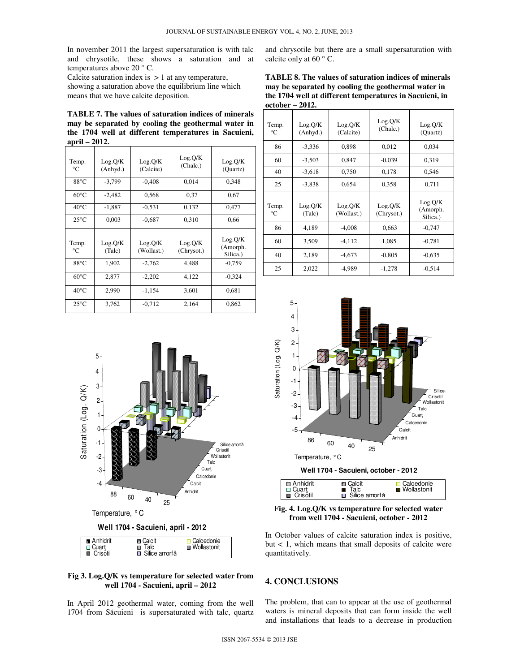In november 2011 the largest supersaturation is with talc and chrysotile, these shows a saturation and at temperatures above 20 ° C.

Calcite saturation index is  $> 1$  at any temperature, showing a saturation above the equilibrium line which means that we have calcite deposition.

**TABLE 7. The values of saturation indices of minerals may be separated by cooling the geothermal water in the 1704 well at different temperatures in Sacuieni, april – 2012.** 

| Temp.<br>°C          | Log.Q/K<br>(Anhyd.) | Log.Q/K<br>(Calcite)  | Log.Q/K<br>(Chalc.)   | Log.Q/K<br>(Quartz)             |
|----------------------|---------------------|-----------------------|-----------------------|---------------------------------|
| $88^{\circ}$ C       | $-3,799$            | $-0,408$              | 0,014                 | 0,348                           |
| $60^{\circ}$ C       | $-2.482$            | 0,568                 | 0.37                  | 0.67                            |
| $40^{\circ}$ C       | $-1,887$            | $-0.531$              | 0.132                 | 0.477                           |
| $25^{\circ}$ C       | 0.003               | $-0.687$              | 0,310                 | 0.66                            |
|                      |                     |                       |                       |                                 |
| Temp.<br>$^{\circ}C$ | Log.Q/K<br>(Talc)   | Log.Q/K<br>(Wollast.) | Log.Q/K<br>(Chrysot.) | Log.Q/K<br>(Amorph.<br>Silica.) |
| $88^{\circ}$ C       | 1.902               | $-2.762$              | 4.488                 | $-0.759$                        |
| $60^{\circ}$ C       | 2,877               | $-2,202$              | 4.122                 | $-0.324$                        |
| $40^{\circ}$ C       | 2,990               | $-1,154$              | 3,601                 | 0.681                           |



**TABLE 8. The values of saturation indices of minerals may be separated by cooling the geothermal water in the 1704 well at different temperatures in Sacuieni, in october – 2012.** 

| Temp.<br>°C | Log.Q/K<br>(Anhyd.) | Log.Q/K<br>(Calcite)  | Log.Q/K<br>(Chalc.)   | Log.Q/K<br>(Ouartz)             |
|-------------|---------------------|-----------------------|-----------------------|---------------------------------|
| 86          | $-3,336$            | 0,898                 | 0,012                 | 0,034                           |
| 60          | $-3,503$            | 0,847                 | $-0.039$              | 0.319                           |
| 40          | $-3,618$            | 0,750                 | 0,178                 | 0,546                           |
| 25          | $-3,838$            | 0,654                 | 0,358                 | 0,711                           |
| Temp.<br>°C | Log.Q/K<br>(Talc)   | Log.Q/K<br>(Wollast.) | Log.Q/K<br>(Chrysot.) | Log.Q/K<br>(Amorph.<br>Silica.) |
| 86          | 4,189               | $-4,008$              | 0,663                 | $-0,747$                        |
| 60          | 3,509               | $-4,112$              | 1,085                 | $-0.781$                        |
|             |                     |                       |                       |                                 |
| 40          | 2,189               | $-4,673$              | $-0,805$              | $-0.635$                        |





**Fig. 4. Log.Q/K vs temperature for selected water from well 1704 - Sacuieni, october - 2012** 

In October values of calcite saturation index is positive, but < 1, which means that small deposits of calcite were quantitatively.

### **4. CONCLUSIONS**

The problem, that can to appear at the use of geothermal waters is mineral deposits that can form inside the well and installations that leads to a decrease in production

#### 5 4 Saturation (Log. Q/K) 3 Saturation (Log. Q/K) 2 1  $\Omega$ -1 Silice amorfă **Crisotil** -2 **Wollastonit**  Talc -3 Cuart Calcedonie Calcit -4 Anhidrit  $88 \t 60 \t 40 \t 25$ Temperature, ° C **Well 1704 - Sacuieni, april - 2012**  Anhidrit a ⊠Calcit a Dalcedonie<br>Cuarţ a Talc II Wollastonit Crisotil **B** Silice amorfă

# **Fig 3. Log.Q/K vs temperature for selected water from well 1704 - Sacuieni, april – 2012**

In April 2012 geothermal water, coming from the well 1704 from Săcuieni is supersaturated with talc, quartz